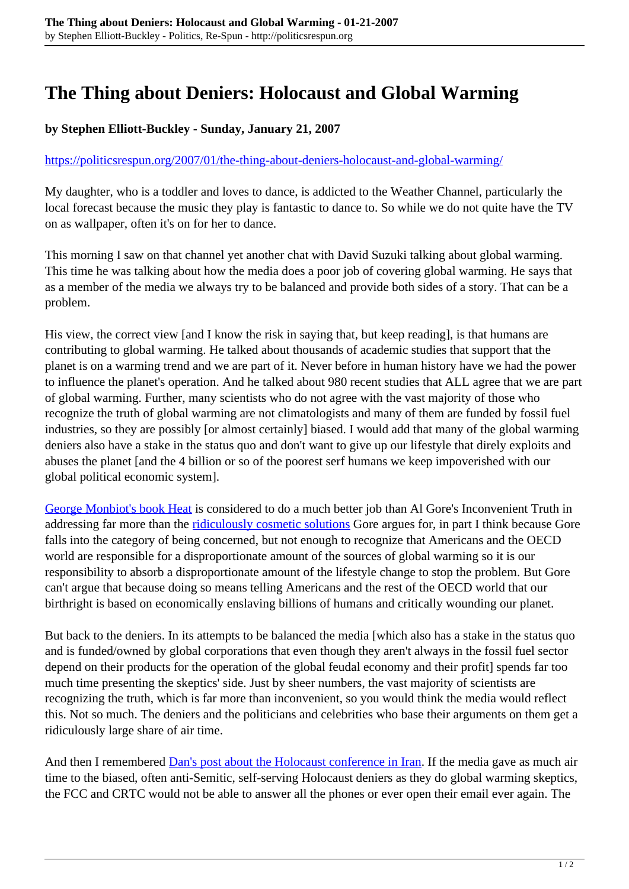## **The Thing about Deniers: Holocaust and Global Warming**

## **by Stephen Elliott-Buckley - Sunday, January 21, 2007**

## <https://politicsrespun.org/2007/01/the-thing-about-deniers-holocaust-and-global-warming/>

My daughter, who is a toddler and loves to dance, is addicted to the Weather Channel, particularly the local forecast because the music they play is fantastic to dance to. So while we do not quite have the TV on as wallpaper, often it's on for her to dance.

This morning I saw on that channel yet another chat with David Suzuki talking about global warming. This time he was talking about how the media does a poor job of covering global warming. He says that as a member of the media we always try to be balanced and provide both sides of a story. That can be a problem.

His view, the correct view [and I know the risk in saying that, but keep reading], is that humans are contributing to global warming. He talked about thousands of academic studies that support that the planet is on a warming trend and we are part of it. Never before in human history have we had the power to influence the planet's operation. And he talked about 980 recent studies that ALL agree that we are part of global warming. Further, many scientists who do not agree with the vast majority of those who recognize the truth of global warming are not climatologists and many of them are funded by fossil fuel industries, so they are possibly [or almost certainly] biased. I would add that many of the global warming deniers also have a stake in the status quo and don't want to give up our lifestyle that direly exploits and abuses the planet [and the 4 billion or so of the poorest serf humans we keep impoverished with our global political economic system].

[George Monbiot's book Heat](http://www.turnuptheheat.org/) is considered to do a much better job than Al Gore's Inconvenient Truth in addressing far more than the [ridiculously cosmetic solutions](http://www.climatecrisis.net/pdf/10things.pdf) Gore argues for, in part I think because Gore falls into the category of being concerned, but not enough to recognize that Americans and the OECD world are responsible for a disproportionate amount of the sources of global warming so it is our responsibility to absorb a disproportionate amount of the lifestyle change to stop the problem. But Gore can't argue that because doing so means telling Americans and the rest of the OECD world that our birthright is based on economically enslaving billions of humans and critically wounding our planet.

But back to the deniers. In its attempts to be balanced the media [which also has a stake in the status quo and is funded/owned by global corporations that even though they aren't always in the fossil fuel sector depend on their products for the operation of the global feudal economy and their profit] spends far too much time presenting the skeptics' side. Just by sheer numbers, the vast majority of scientists are recognizing the truth, which is far more than inconvenient, so you would think the media would reflect this. Not so much. The deniers and the politicians and celebrities who base their arguments on them get a ridiculously large share of air time.

And then I remembered **Dan's post about the Holocaust conference in Iran**. If the media gave as much air time to the biased, often anti-Semitic, self-serving Holocaust deniers as they do global warming skeptics, the FCC and CRTC would not be able to answer all the phones or ever open their email ever again. The